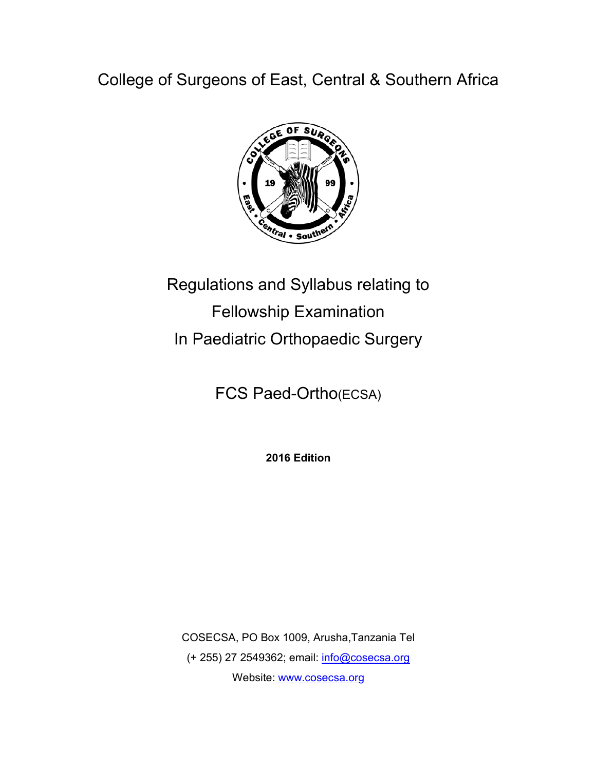College of Surgeons of East, Central & Southern Africa



# Regulations and Syllabus relating to Fellowship Examination In Paediatric Orthopaedic Surgery

FCS Paed-Ortho(ECSA)

**2016 Edition**

COSECSA, PO Box 1009, Arusha,Tanzania Tel (+ 255) 27 2549362; email: info@cosecsa.org Website: www.cosecsa.org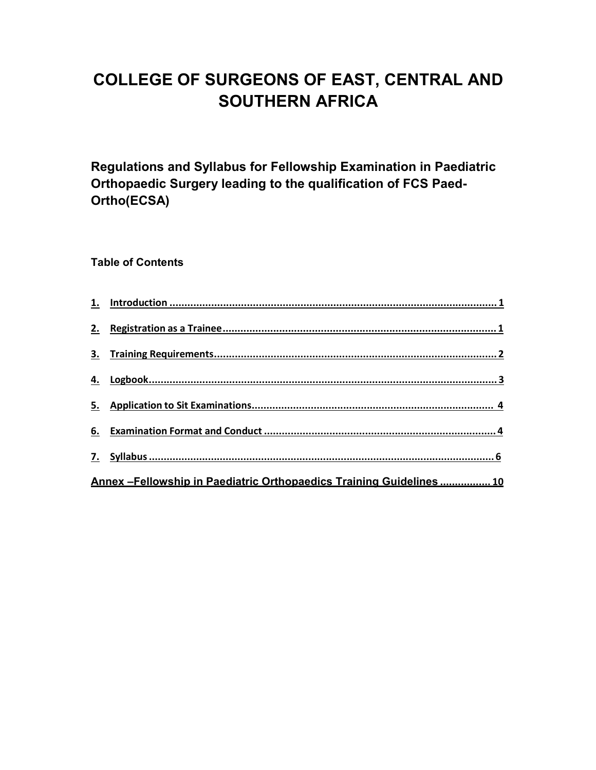## **COLLEGE OF SURGEONS OF EAST, CENTRAL AND SOUTHERN AFRICA**

**Regulations and Syllabus for Fellowship Examination in Paediatric Orthopaedic Surgery leading to the qualification of FCS Paed-Ortho(ECSA)**

**Table of Contents**

| Annex - Fellowship in Paediatric Orthopaedics Training Guidelines  10 |  |
|-----------------------------------------------------------------------|--|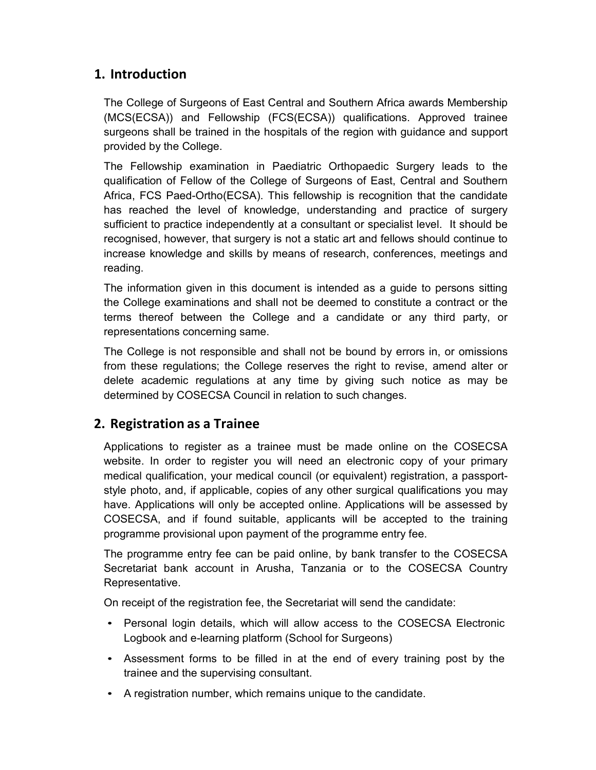## **1. Introduction**

The College of Surgeons of East Central and Southern Africa awards Membership (MCS(ECSA)) and Fellowship (FCS(ECSA)) qualifications. Approved trainee surgeons shall be trained in the hospitals of the region with guidance and support provided by the College.

The Fellowship examination in Paediatric Orthopaedic Surgery leads to the qualification of Fellow of the College of Surgeons of East, Central and Southern Africa, FCS Paed-Ortho(ECSA). This fellowship is recognition that the candidate has reached the level of knowledge, understanding and practice of surgery sufficient to practice independently at a consultant or specialist level. It should be recognised, however, that surgery is not a static art and fellows should continue to increase knowledge and skills by means of research, conferences, meetings and reading.

The information given in this document is intended as a guide to persons sitting the College examinations and shall not be deemed to constitute a contract or the terms thereof between the College and a candidate or any third party, or representations concerning same.

The College is not responsible and shall not be bound by errors in, or omissions from these regulations; the College reserves the right to revise, amend alter or delete academic regulations at any time by giving such notice as may be determined by COSECSA Council in relation to such changes.

## **2. Registration as a Trainee**

Applications to register as a trainee must be made online on the COSECSA website. In order to register you will need an electronic copy of your primary medical qualification, your medical council (or equivalent) registration, a passportstyle photo, and, if applicable, copies of any other surgical qualifications you may have. Applications will only be accepted online. Applications will be assessed by COSECSA, and if found suitable, applicants will be accepted to the training programme provisional upon payment of the programme entry fee.

The programme entry fee can be paid online, by bank transfer to the COSECSA Secretariat bank account in Arusha, Tanzania or to the COSECSA Country Representative.

On receipt of the registration fee, the Secretariat will send the candidate:

- Personal login details, which will allow access to the COSECSA Electronic Logbook and e-learning platform (School for Surgeons)
- Assessment forms to be filled in at the end of every training post by the trainee and the supervising consultant.
- A registration number, which remains unique to the candidate.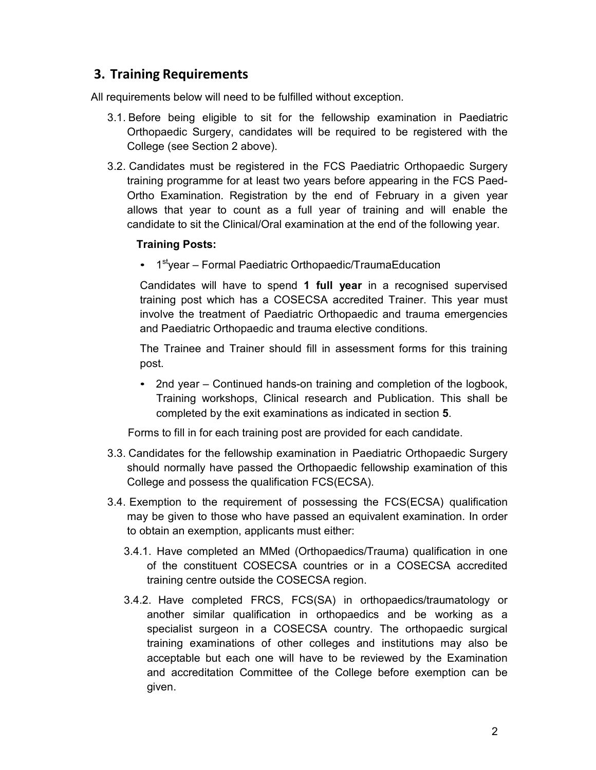## **3. Training Requirements**

All requirements below will need to be fulfilled without exception.

- 3.1. Before being eligible to sit for the fellowship examination in Paediatric Orthopaedic Surgery, candidates will be required to be registered with the College (see Section 2 above).
- 3.2. Candidates must be registered in the FCS Paediatric Orthopaedic Surgery training programme for at least two years before appearing in the FCS Paed-Ortho Examination. Registration by the end of February in a given year allows that year to count as a full year of training and will enable the candidate to sit the Clinical/Oral examination at the end of the following year.

#### **Training Posts:**

• 1<sup>st</sup>year – Formal Paediatric Orthopaedic/TraumaEducation

Candidates will have to spend **1 full year** in a recognised supervised training post which has a COSECSA accredited Trainer. This year must involve the treatment of Paediatric Orthopaedic and trauma emergencies and Paediatric Orthopaedic and trauma elective conditions.

The Trainee and Trainer should fill in assessment forms for this training post.

• 2nd year – Continued hands-on training and completion of the logbook, Training workshops, Clinical research and Publication. This shall be completed by the exit examinations as indicated in section **5**.

Forms to fill in for each training post are provided for each candidate.

- 3.3. Candidates for the fellowship examination in Paediatric Orthopaedic Surgery should normally have passed the Orthopaedic fellowship examination of this College and possess the qualification FCS(ECSA).
- 3.4. Exemption to the requirement of possessing the FCS(ECSA) qualification may be given to those who have passed an equivalent examination. In order to obtain an exemption, applicants must either:
	- 3.4.1. Have completed an MMed (Orthopaedics/Trauma) qualification in one of the constituent COSECSA countries or in a COSECSA accredited training centre outside the COSECSA region.
	- 3.4.2. Have completed FRCS, FCS(SA) in orthopaedics/traumatology or another similar qualification in orthopaedics and be working as a specialist surgeon in a COSECSA country. The orthopaedic surgical training examinations of other colleges and institutions may also be acceptable but each one will have to be reviewed by the Examination and accreditation Committee of the College before exemption can be given.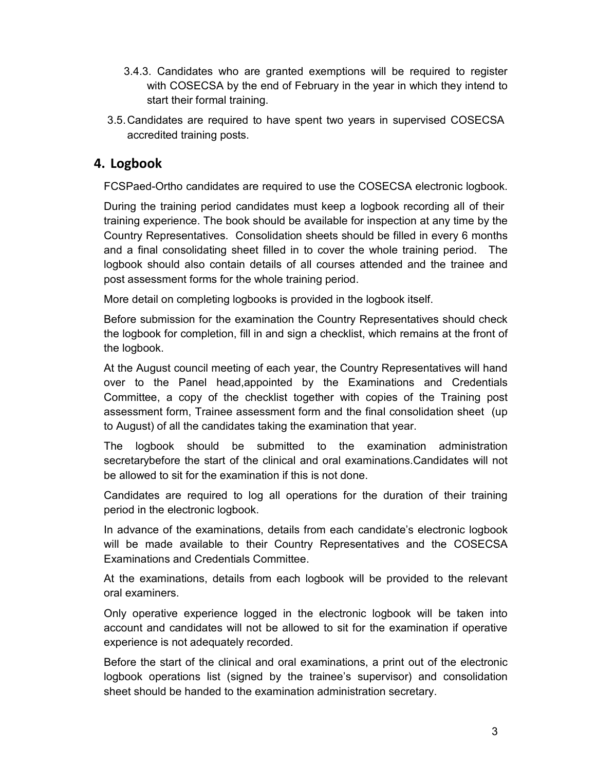- 3.4.3. Candidates who are granted exemptions will be required to register with COSECSA by the end of February in the year in which they intend to start their formal training.
- 3.5. Candidates are required to have spent two years in supervised COSECSA accredited training posts.

## **4. Logbook**

FCSPaed-Ortho candidates are required to use the COSECSA electronic logbook.

During the training period candidates must keep a logbook recording all of their training experience. The book should be available for inspection at any time by the Country Representatives. Consolidation sheets should be filled in every 6 months and a final consolidating sheet filled in to cover the whole training period. The logbook should also contain details of all courses attended and the trainee and post assessment forms for the whole training period.

More detail on completing logbooks is provided in the logbook itself.

Before submission for the examination the Country Representatives should check the logbook for completion, fill in and sign a checklist, which remains at the front of the logbook.

At the August council meeting of each year, the Country Representatives will hand over to the Panel head,appointed by the Examinations and Credentials Committee, a copy of the checklist together with copies of the Training post assessment form, Trainee assessment form and the final consolidation sheet (up to August) of all the candidates taking the examination that year.

The logbook should be submitted to the examination administration secretarybefore the start of the clinical and oral examinations.Candidates will not be allowed to sit for the examination if this is not done.

Candidates are required to log all operations for the duration of their training period in the electronic logbook.

In advance of the examinations, details from each candidate's electronic logbook will be made available to their Country Representatives and the COSECSA Examinations and Credentials Committee.

At the examinations, details from each logbook will be provided to the relevant oral examiners.

Only operative experience logged in the electronic logbook will be taken into account and candidates will not be allowed to sit for the examination if operative experience is not adequately recorded.

Before the start of the clinical and oral examinations, a print out of the electronic logbook operations list (signed by the trainee's supervisor) and consolidation sheet should be handed to the examination administration secretary.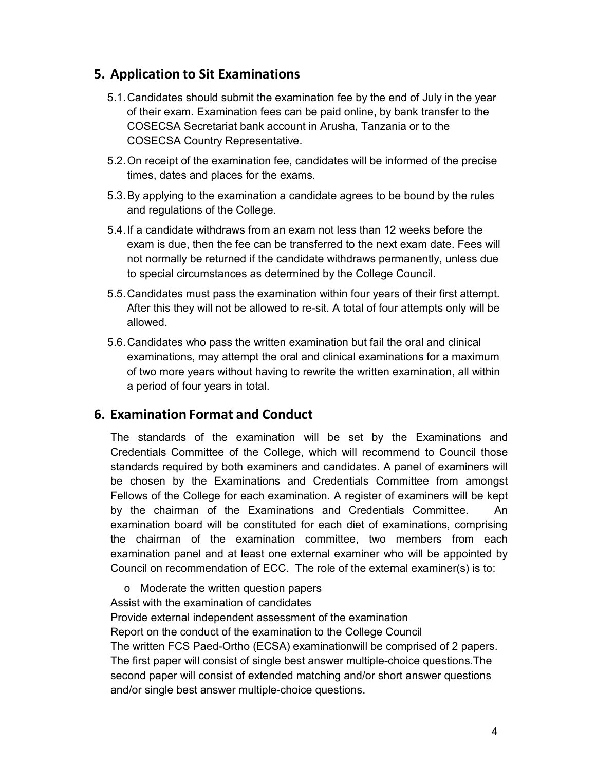## **5. Application to Sit Examinations**

- 5.1. Candidates should submit the examination fee by the end of July in the year of their exam. Examination fees can be paid online, by bank transfer to the COSECSA Secretariat bank account in Arusha, Tanzania or to the COSECSA Country Representative.
- 5.2. On receipt of the examination fee, candidates will be informed of the precise times, dates and places for the exams.
- 5.3. By applying to the examination a candidate agrees to be bound by the rules and regulations of the College.
- 5.4. If a candidate withdraws from an exam not less than 12 weeks before the exam is due, then the fee can be transferred to the next exam date. Fees will not normally be returned if the candidate withdraws permanently, unless due to special circumstances as determined by the College Council.
- 5.5. Candidates must pass the examination within four years of their first attempt. After this they will not be allowed to re-sit. A total of four attempts only will be allowed.
- 5.6. Candidates who pass the written examination but fail the oral and clinical examinations, may attempt the oral and clinical examinations for a maximum of two more years without having to rewrite the written examination, all within a period of four years in total.

## **6. Examination Format and Conduct**

The standards of the examination will be set by the Examinations and Credentials Committee of the College, which will recommend to Council those standards required by both examiners and candidates. A panel of examiners will be chosen by the Examinations and Credentials Committee from amongst Fellows of the College for each examination. A register of examiners will be kept by the chairman of the Examinations and Credentials Committee. An examination board will be constituted for each diet of examinations, comprising the chairman of the examination committee, two members from each examination panel and at least one external examiner who will be appointed by Council on recommendation of ECC. The role of the external examiner(s) is to:

o Moderate the written question papers

Assist with the examination of candidates

Provide external independent assessment of the examination

Report on the conduct of the examination to the College Council

The written FCS Paed-Ortho (ECSA) examinationwill be comprised of 2 papers. The first paper will consist of single best answer multiple-choice questions.The second paper will consist of extended matching and/or short answer questions and/or single best answer multiple-choice questions.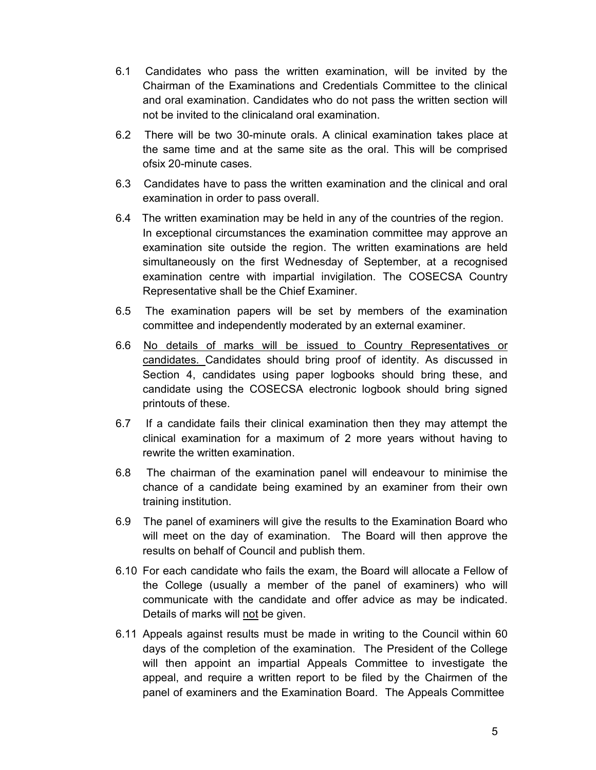- 6.1 Candidates who pass the written examination, will be invited by the Chairman of the Examinations and Credentials Committee to the clinical and oral examination. Candidates who do not pass the written section will not be invited to the clinicaland oral examination.
- 6.2 There will be two 30-minute orals. A clinical examination takes place at the same time and at the same site as the oral. This will be comprised ofsix 20-minute cases.
- 6.3 Candidates have to pass the written examination and the clinical and oral examination in order to pass overall.
- 6.4 The written examination may be held in any of the countries of the region. In exceptional circumstances the examination committee may approve an examination site outside the region. The written examinations are held simultaneously on the first Wednesday of September, at a recognised examination centre with impartial invigilation. The COSECSA Country Representative shall be the Chief Examiner.
- 6.5 The examination papers will be set by members of the examination committee and independently moderated by an external examiner.
- 6.6 No details of marks will be issued to Country Representatives or candidates. Candidates should bring proof of identity. As discussed in Section 4, candidates using paper logbooks should bring these, and candidate using the COSECSA electronic logbook should bring signed printouts of these.
- 6.7 If a candidate fails their clinical examination then they may attempt the clinical examination for a maximum of 2 more years without having to rewrite the written examination.
- 6.8 The chairman of the examination panel will endeavour to minimise the chance of a candidate being examined by an examiner from their own training institution.
- 6.9 The panel of examiners will give the results to the Examination Board who will meet on the day of examination. The Board will then approve the results on behalf of Council and publish them.
- 6.10 For each candidate who fails the exam, the Board will allocate a Fellow of the College (usually a member of the panel of examiners) who will communicate with the candidate and offer advice as may be indicated. Details of marks will not be given.
- 6.11 Appeals against results must be made in writing to the Council within 60 days of the completion of the examination. The President of the College will then appoint an impartial Appeals Committee to investigate the appeal, and require a written report to be filed by the Chairmen of the panel of examiners and the Examination Board. The Appeals Committee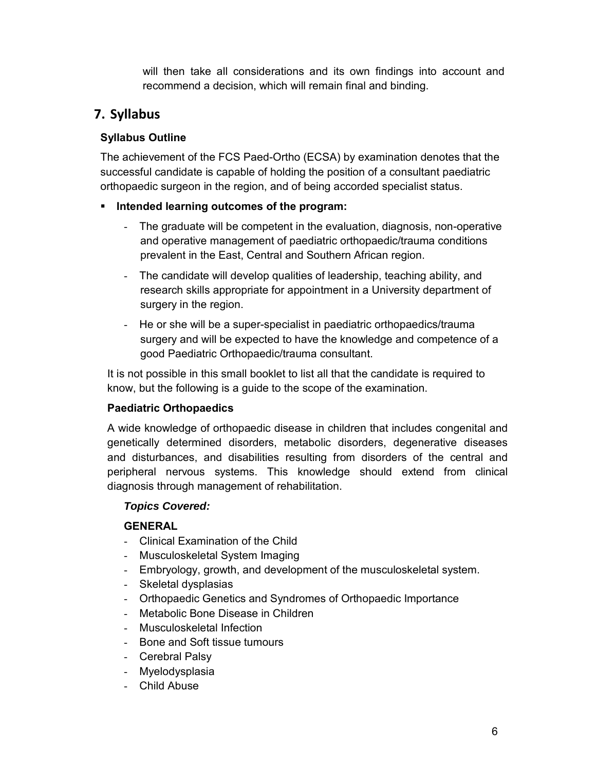will then take all considerations and its own findings into account and recommend a decision, which will remain final and binding.

## **7. Syllabus**

## **Syllabus Outline**

The achievement of the FCS Paed-Ortho (ECSA) by examination denotes that the successful candidate is capable of holding the position of a consultant paediatric orthopaedic surgeon in the region, and of being accorded specialist status.

## **Intended learning outcomes of the program:**

- The graduate will be competent in the evaluation, diagnosis, non-operative and operative management of paediatric orthopaedic/trauma conditions prevalent in the East, Central and Southern African region.
- The candidate will develop qualities of leadership, teaching ability, and research skills appropriate for appointment in a University department of surgery in the region.
- He or she will be a super-specialist in paediatric orthopaedics/trauma surgery and will be expected to have the knowledge and competence of a good Paediatric Orthopaedic/trauma consultant.

It is not possible in this small booklet to list all that the candidate is required to know, but the following is a guide to the scope of the examination.

## **Paediatric Orthopaedics**

A wide knowledge of orthopaedic disease in children that includes congenital and genetically determined disorders, metabolic disorders, degenerative diseases and disturbances, and disabilities resulting from disorders of the central and peripheral nervous systems. This knowledge should extend from clinical diagnosis through management of rehabilitation.

## *Topics Covered:*

## **GENERAL**

- Clinical Examination of the Child
- Musculoskeletal System Imaging
- Embryology, growth, and development of the musculoskeletal system.
- Skeletal dysplasias
- Orthopaedic Genetics and Syndromes of Orthopaedic Importance
- Metabolic Bone Disease in Children
- Musculoskeletal Infection
- Bone and Soft tissue tumours
- Cerebral Palsy
- Myelodysplasia
- Child Abuse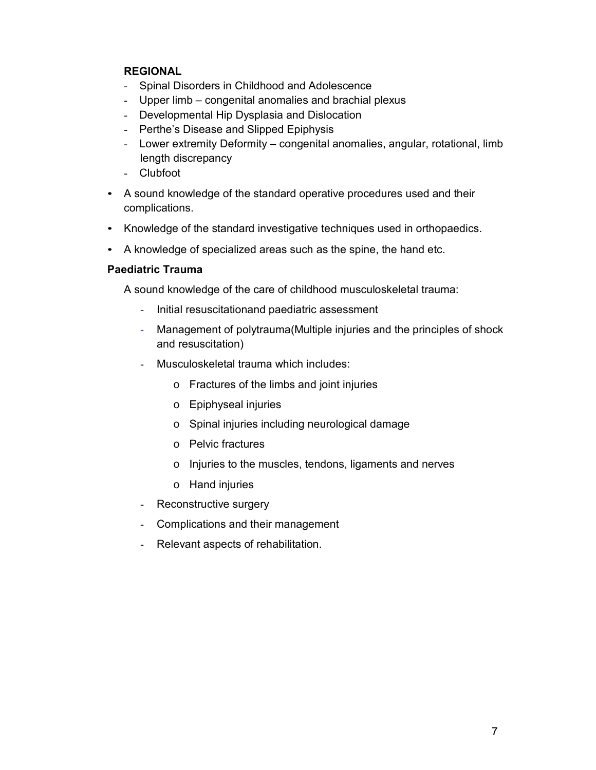#### **REGIONAL**

- Spinal Disorders in Childhood and Adolescence
- Upper limb congenital anomalies and brachial plexus
- Developmental Hip Dysplasia and Dislocation
- Perthe's Disease and Slipped Epiphysis
- Lower extremity Deformity congenital anomalies, angular, rotational, limb length discrepancy
- Clubfoot
- A sound knowledge of the standard operative procedures used and their complications.
- Knowledge of the standard investigative techniques used in orthopaedics.
- A knowledge of specialized areas such as the spine, the hand etc.

#### **Paediatric Trauma**

A sound knowledge of the care of childhood musculoskeletal trauma:

- Initial resuscitationand paediatric assessment
- Management of polytrauma(Multiple injuries and the principles of shock and resuscitation)
- Musculoskeletal trauma which includes:
	- o Fractures of the limbs and joint injuries
	- o Epiphyseal injuries
	- o Spinal injuries including neurological damage
	- o Pelvic fractures
	- o Injuries to the muscles, tendons, ligaments and nerves
	- o Hand injuries
- Reconstructive surgery
- Complications and their management
- Relevant aspects of rehabilitation.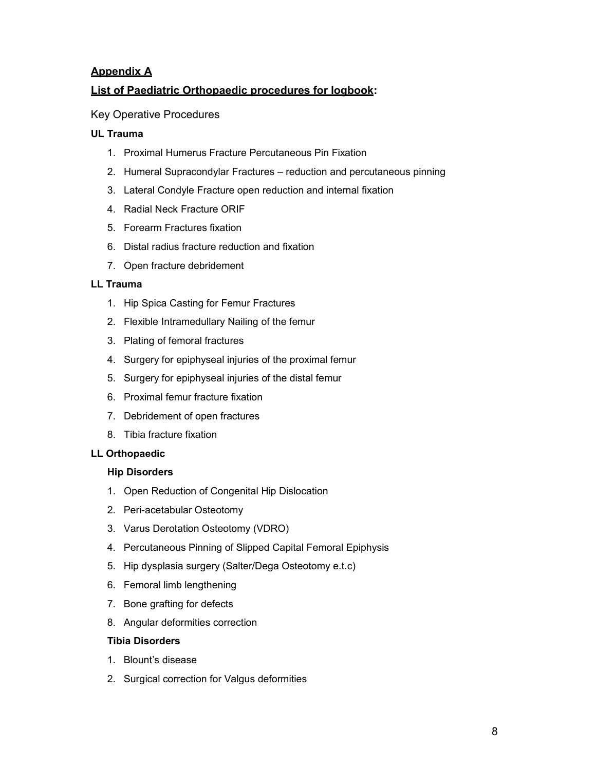#### **Appendix A**

#### **List of Paediatric Orthopaedic procedures for logbook:**

Key Operative Procedures

#### **UL Trauma**

- 1. Proximal Humerus Fracture Percutaneous Pin Fixation
- 2. Humeral Supracondylar Fractures reduction and percutaneous pinning
- 3. Lateral Condyle Fracture open reduction and internal fixation
- 4. Radial Neck Fracture ORIF
- 5. Forearm Fractures fixation
- 6. Distal radius fracture reduction and fixation
- 7. Open fracture debridement

#### **LL Trauma**

- 1. Hip Spica Casting for Femur Fractures
- 2. Flexible Intramedullary Nailing of the femur
- 3. Plating of femoral fractures
- 4. Surgery for epiphyseal injuries of the proximal femur
- 5. Surgery for epiphyseal injuries of the distal femur
- 6. Proximal femur fracture fixation
- 7. Debridement of open fractures
- 8. Tibia fracture fixation

#### **LL Orthopaedic**

#### **Hip Disorders**

- 1. Open Reduction of Congenital Hip Dislocation
- 2. Peri-acetabular Osteotomy
- 3. Varus Derotation Osteotomy (VDRO)
- 4. Percutaneous Pinning of Slipped Capital Femoral Epiphysis
- 5. Hip dysplasia surgery (Salter/Dega Osteotomy e.t.c)
- 6. Femoral limb lengthening
- 7. Bone grafting for defects
- 8. Angular deformities correction

#### **Tibia Disorders**

- 1. Blount's disease
- 2. Surgical correction for Valgus deformities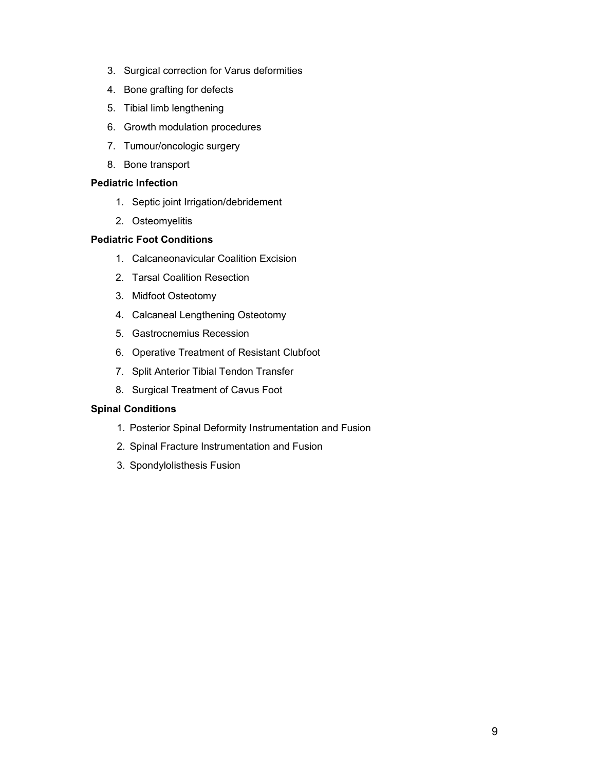- 3. Surgical correction for Varus deformities
- 4. Bone grafting for defects
- 5. Tibial limb lengthening
- 6. Growth modulation procedures
- 7. Tumour/oncologic surgery
- 8. Bone transport

#### **Pediatric Infection**

- 1. Septic joint Irrigation/debridement
- 2. Osteomyelitis

#### **Pediatric Foot Conditions**

- 1. Calcaneonavicular Coalition Excision
- 2. Tarsal Coalition Resection
- 3. Midfoot Osteotomy
- 4. Calcaneal Lengthening Osteotomy
- 5. Gastrocnemius Recession
- 6. Operative Treatment of Resistant Clubfoot
- 7. Split Anterior Tibial Tendon Transfer
- 8. Surgical Treatment of Cavus Foot

#### **Spinal Conditions**

- 1. Posterior Spinal Deformity Instrumentation and Fusion
- 2. Spinal Fracture Instrumentation and Fusion
- 3. Spondylolisthesis Fusion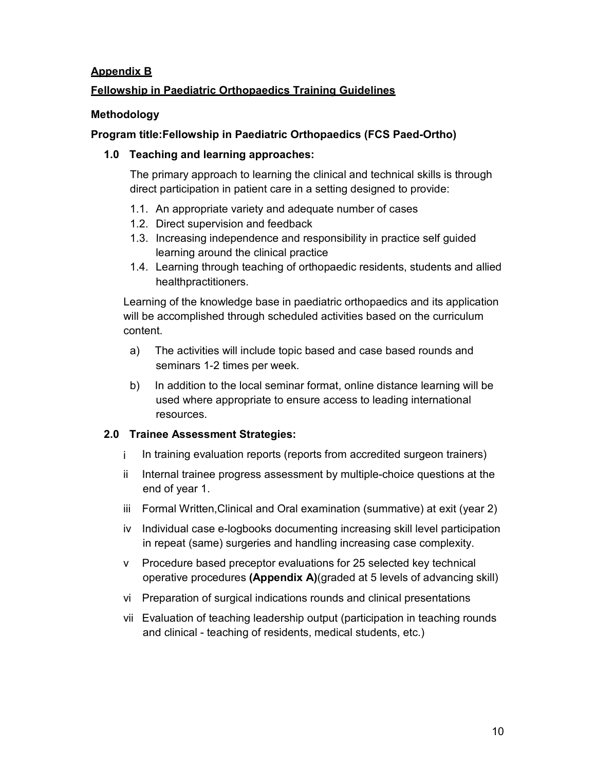#### **Appendix B**

### **Fellowship in Paediatric Orthopaedics Training Guidelines**

#### **Methodology**

#### **Program title:Fellowship in Paediatric Orthopaedics (FCS Paed-Ortho)**

#### **1.0 Teaching and learning approaches:**

The primary approach to learning the clinical and technical skills is through direct participation in patient care in a setting designed to provide:

- 1.1. An appropriate variety and adequate number of cases
- 1.2. Direct supervision and feedback
- 1.3. Increasing independence and responsibility in practice self guided learning around the clinical practice
- 1.4. Learning through teaching of orthopaedic residents, students and allied healthpractitioners.

Learning of the knowledge base in paediatric orthopaedics and its application will be accomplished through scheduled activities based on the curriculum content.

- a) The activities will include topic based and case based rounds and seminars 1-2 times per week.
- b) In addition to the local seminar format, online distance learning will be used where appropriate to ensure access to leading international resources.

#### **2.0 Trainee Assessment Strategies:**

- i In training evaluation reports (reports from accredited surgeon trainers)
- ii Internal trainee progress assessment by multiple-choice questions at the end of year 1.
- iii Formal Written,Clinical and Oral examination (summative) at exit (year 2)
- iv Individual case e-logbooks documenting increasing skill level participation in repeat (same) surgeries and handling increasing case complexity.
- v Procedure based preceptor evaluations for 25 selected key technical operative procedures **(Appendix A)**(graded at 5 levels of advancing skill)
- vi Preparation of surgical indications rounds and clinical presentations
- vii Evaluation of teaching leadership output (participation in teaching rounds and clinical - teaching of residents, medical students, etc.)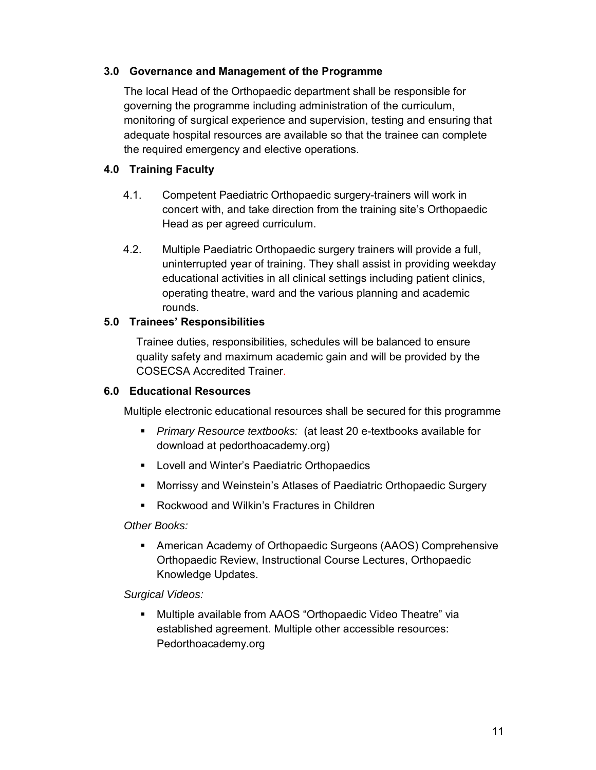#### **3.0 Governance and Management of the Programme**

The local Head of the Orthopaedic department shall be responsible for governing the programme including administration of the curriculum, monitoring of surgical experience and supervision, testing and ensuring that adequate hospital resources are available so that the trainee can complete the required emergency and elective operations.

#### **4.0 Training Faculty**

- 4.1. Competent Paediatric Orthopaedic surgery-trainers will work in concert with, and take direction from the training site's Orthopaedic Head as per agreed curriculum.
- 4.2. Multiple Paediatric Orthopaedic surgery trainers will provide a full, uninterrupted year of training. They shall assist in providing weekday educational activities in all clinical settings including patient clinics, operating theatre, ward and the various planning and academic rounds.

#### **5.0 Trainees' Responsibilities**

Trainee duties, responsibilities, schedules will be balanced to ensure quality safety and maximum academic gain and will be provided by the COSECSA Accredited Trainer.

#### **6.0 Educational Resources**

Multiple electronic educational resources shall be secured for this programme

- *Primary Resource textbooks:* (at least 20 e-textbooks available for download at pedorthoacademy.org)
- **EXECTE:** Lovell and Winter's Paediatric Orthopaedics
- Morrissy and Weinstein's Atlases of Paediatric Orthopaedic Surgery
- Rockwood and Wilkin's Fractures in Children

*Other Books:*

 American Academy of Orthopaedic Surgeons (AAOS) Comprehensive Orthopaedic Review, Instructional Course Lectures, Orthopaedic Knowledge Updates.

*Surgical Videos:*

 Multiple available from AAOS "Orthopaedic Video Theatre" via established agreement. Multiple other accessible resources: Pedorthoacademy.org